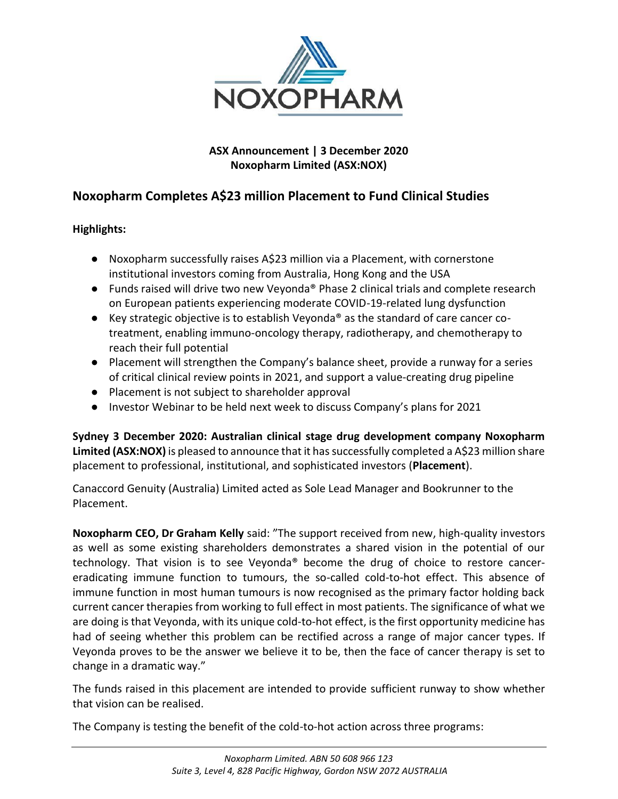

# **ASX Announcement | 3 December 2020 Noxopharm Limited (ASX:NOX)**

# **Noxopharm Completes A\$23 million Placement to Fund Clinical Studies**

# **Highlights:**

- Noxopharm successfully raises A\$23 million via a Placement, with cornerstone institutional investors coming from Australia, Hong Kong and the USA
- Funds raised will drive two new Veyonda<sup>®</sup> Phase 2 clinical trials and complete research on European patients experiencing moderate COVID-19-related lung dysfunction
- Key strategic objective is to establish Veyonda<sup>®</sup> as the standard of care cancer cotreatment, enabling immuno-oncology therapy, radiotherapy, and chemotherapy to reach their full potential
- Placement will strengthen the Company's balance sheet, provide a runway for a series of critical clinical review points in 2021, and support a value-creating drug pipeline
- Placement is not subject to shareholder approval
- Investor Webinar to be held next week to discuss Company's plans for 2021

**Sydney 3 December 2020: Australian clinical stage drug development company Noxopharm**  Limited (ASX:NOX) is pleased to announce that it has successfully completed a A\$23 million share placement to professional, institutional, and sophisticated investors (**Placement**).

Canaccord Genuity (Australia) Limited acted as Sole Lead Manager and Bookrunner to the Placement.

**Noxopharm CEO, Dr Graham Kelly** said: "The support received from new, high-quality investors as well as some existing shareholders demonstrates a shared vision in the potential of our technology. That vision is to see Veyonda® become the drug of choice to restore cancereradicating immune function to tumours, the so-called cold-to-hot effect. This absence of immune function in most human tumours is now recognised as the primary factor holding back current cancer therapies from working to full effect in most patients. The significance of what we are doing is that Veyonda, with its unique cold-to-hot effect, is the first opportunity medicine has had of seeing whether this problem can be rectified across a range of major cancer types. If Veyonda proves to be the answer we believe it to be, then the face of cancer therapy is set to change in a dramatic way."

The funds raised in this placement are intended to provide sufficient runway to show whether that vision can be realised.

The Company is testing the benefit of the cold-to-hot action across three programs: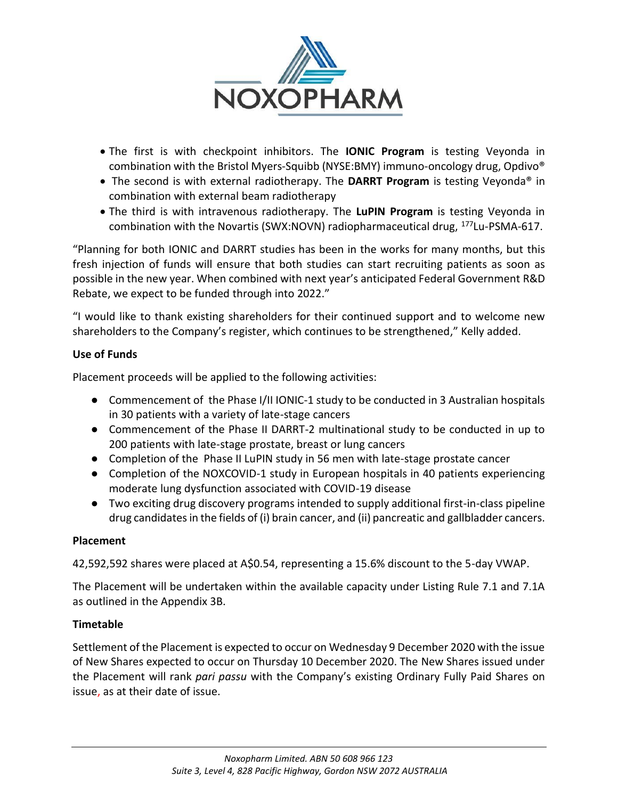

- The first is with checkpoint inhibitors. The **IONIC Program** is testing Veyonda in combination with the Bristol Myers-Squibb (NYSE:BMY) immuno-oncology drug, Opdivo®
- The second is with external radiotherapy. The **DARRT Program** is testing Veyonda® in combination with external beam radiotherapy
- The third is with intravenous radiotherapy. The **LuPIN Program** is testing Veyonda in combination with the Novartis (SWX:NOVN) radiopharmaceutical drug, <sup>177</sup>Lu-PSMA-617.

"Planning for both IONIC and DARRT studies has been in the works for many months, but this fresh injection of funds will ensure that both studies can start recruiting patients as soon as possible in the new year. When combined with next year's anticipated Federal Government R&D Rebate, we expect to be funded through into 2022."

"I would like to thank existing shareholders for their continued support and to welcome new shareholders to the Company's register, which continues to be strengthened," Kelly added.

### **Use of Funds**

Placement proceeds will be applied to the following activities:

- Commencement of the Phase I/II IONIC-1 study to be conducted in 3 Australian hospitals in 30 patients with a variety of late-stage cancers
- Commencement of the Phase II DARRT-2 multinational study to be conducted in up to 200 patients with late-stage prostate, breast or lung cancers
- Completion of the Phase II LuPIN study in 56 men with late-stage prostate cancer
- Completion of the NOXCOVID-1 study in European hospitals in 40 patients experiencing moderate lung dysfunction associated with COVID-19 disease
- Two exciting drug discovery programs intended to supply additional first-in-class pipeline drug candidates in the fields of (i) brain cancer, and (ii) pancreatic and gallbladder cancers.

### **Placement**

42,592,592 shares were placed at A\$0.54, representing a 15.6% discount to the 5-day VWAP.

The Placement will be undertaken within the available capacity under Listing Rule 7.1 and 7.1A as outlined in the Appendix 3B.

### **Timetable**

Settlement of the Placement is expected to occur on Wednesday 9 December 2020 with the issue of New Shares expected to occur on Thursday 10 December 2020. The New Shares issued under the Placement will rank *pari passu* with the Company's existing Ordinary Fully Paid Shares on issue, as at their date of issue.